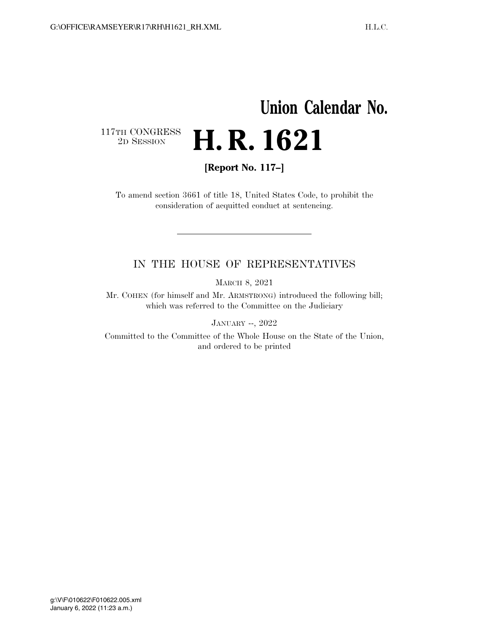# **Union Calendar No.**   $\begin{array}{c} \textbf{117TH CONGRESS} \\ \textbf{2D} \textbf{Session} \end{array}$ 2D SESSION **H. R. 1621**

**[Report No. 117–]** 

To amend section 3661 of title 18, United States Code, to prohibit the consideration of acquitted conduct at sentencing.

### IN THE HOUSE OF REPRESENTATIVES

MARCH 8, 2021

Mr. COHEN (for himself and Mr. ARMSTRONG) introduced the following bill; which was referred to the Committee on the Judiciary

JANUARY --, 2022

Committed to the Committee of the Whole House on the State of the Union, and ordered to be printed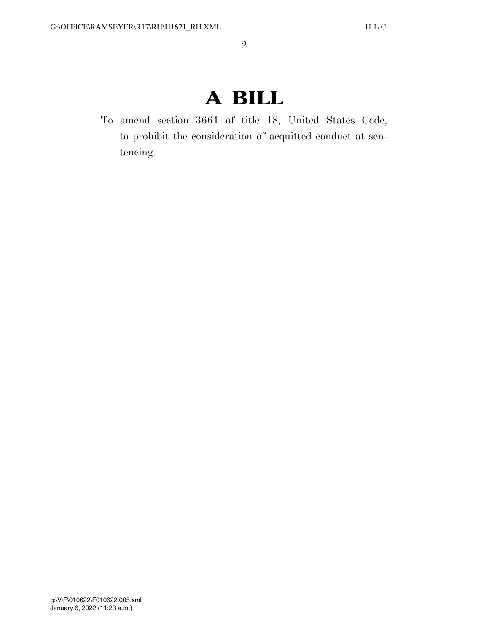# **A BILL**

To amend section 3661 of title 18, United States Code, to prohibit the consideration of acquitted conduct at sentencing.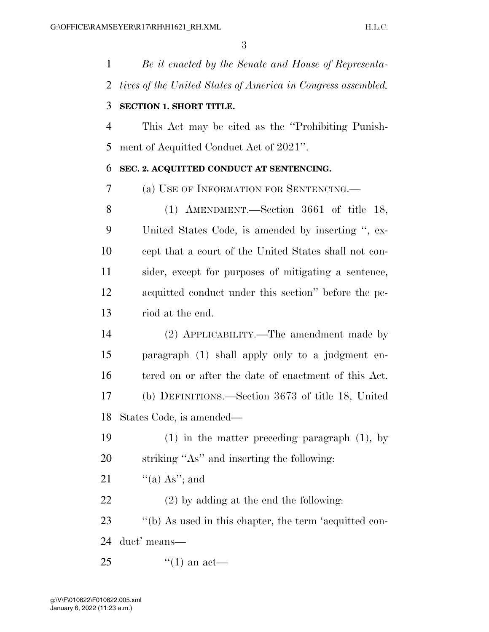*Be it enacted by the Senate and House of Representa-tives of the United States of America in Congress assembled,* 

### **SECTION 1. SHORT TITLE.**

 This Act may be cited as the ''Prohibiting Punish-ment of Acquitted Conduct Act of 2021''.

#### **SEC. 2. ACQUITTED CONDUCT AT SENTENCING.**

(a) USE OF INFORMATION FOR SENTENCING.—

 (1) AMENDMENT.—Section 3661 of title 18, United States Code, is amended by inserting '', ex- cept that a court of the United States shall not con- sider, except for purposes of mitigating a sentence, acquitted conduct under this section'' before the pe-riod at the end.

 (2) APPLICABILITY.—The amendment made by paragraph (1) shall apply only to a judgment en- tered on or after the date of enactment of this Act. (b) DEFINITIONS.—Section 3673 of title 18, United States Code, is amended—

 (1) in the matter preceding paragraph (1), by striking ''As'' and inserting the following:

21  $\frac{u'(a) As''; and}{}$ 

(2) by adding at the end the following:

''(b) As used in this chapter, the term 'acquitted con-

duct' means—

25  $\frac{1}{2}$   $(1)$  an act—